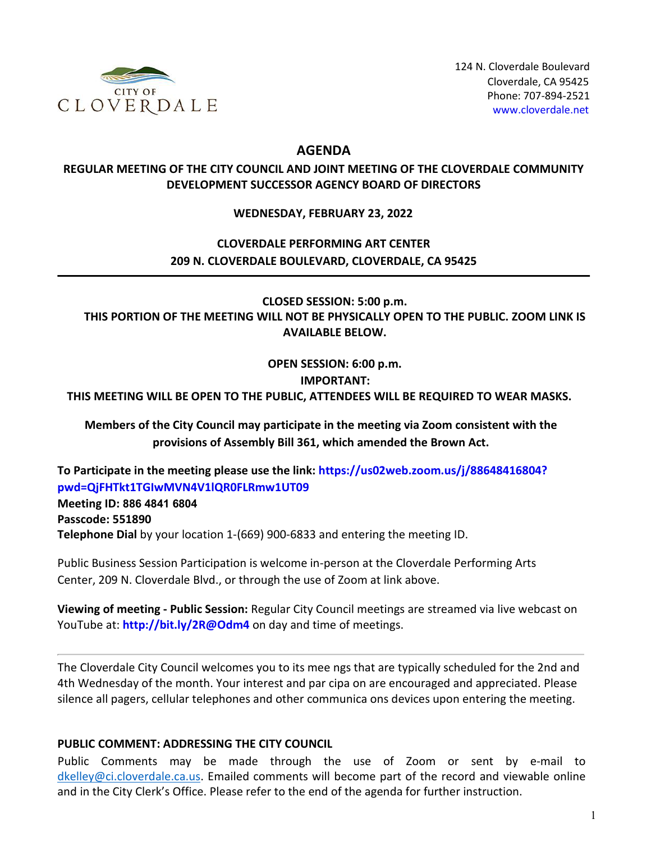

124 N. Cloverdale Boulevard Cloverdale, CA 95425 Phone: 707-894-2521 [www.cloverdale.net](https://www.cloverdale.net/)

## **AGENDA**

## **REGULAR MEETING OF THE CITY COUNCIL AND JOINT MEETING OF THE CLOVERDALE COMMUNITY DEVELOPMENT SUCCESSOR AGENCY BOARD OF DIRECTORS**

### **WEDNESDAY, FEBRUARY 23, 2022**

# **CLOVERDALE PERFORMING ART CENTER 209 N. CLOVERDALE BOULEVARD, CLOVERDALE, CA 95425**

**CLOSED SESSION: 5:00 p.m. THIS PORTION OF THE MEETING WILL NOT BE PHYSICALLY OPEN TO THE PUBLIC. ZOOM LINK IS AVAILABLE BELOW.**

**OPEN SESSION: 6:00 p.m.**

#### **IMPORTANT:**

**THIS MEETING WILL BE OPEN TO THE PUBLIC, ATTENDEES WILL BE REQUIRED TO WEAR MASKS.**

**Members of the City Council may participate in the meeting via Zoom consistent with the provisions of Assembly Bill 361, which amended the Brown Act.**

**[To Participate in the meeting please use the link:](https://us02web.zoom.us/j/88648416804?pwd=QjFHTkt1TGIwMVN4V1lQR0FLRmw1UT09) https://us02web.zoom.us/j/88648416804? [pwd=QjFHTkt1TGIwMVN4V1lQR0FLRmw1UT09](https://us02web.zoom.us/j/88648416804?pwd=QjFHTkt1TGIwMVN4V1lQR0FLRmw1UT09) Meeting ID: 886 4841 6804 Passcode: 551890 Telephone Dial** by your location 1-(669) 900-6833 and entering the meeting ID.

Public Business Session Participation is welcome in-person at the Cloverdale Performing Arts Center, 209 N. Cloverdale Blvd., or through the use of Zoom at link above.

**Viewing of meeting - Public Session:** Regular City Council meetings are streamed via live webcast on YouTube at: **<http://bit.ly/2R@Odm4>** on day and time of meetings.

The Cloverdale City Council welcomes you to its mee ngs that are typically scheduled for the 2nd and 4th Wednesday of the month. Your interest and par cipa on are encouraged and appreciated. Please silence all pagers, cellular telephones and other communica ons devices upon entering the meeting.

#### **PUBLIC COMMENT: ADDRESSING THE CITY COUNCIL**

Public Comments may be made through the use of Zoom or sent by e-mail to [dkelley@ci.cloverdale.ca.us.](mailto:dkelley@ci.cloverdale.ca.us) Emailed comments will become part of the record and viewable online and in the City Clerk's Office. Please refer to the end of the agenda for further instruction.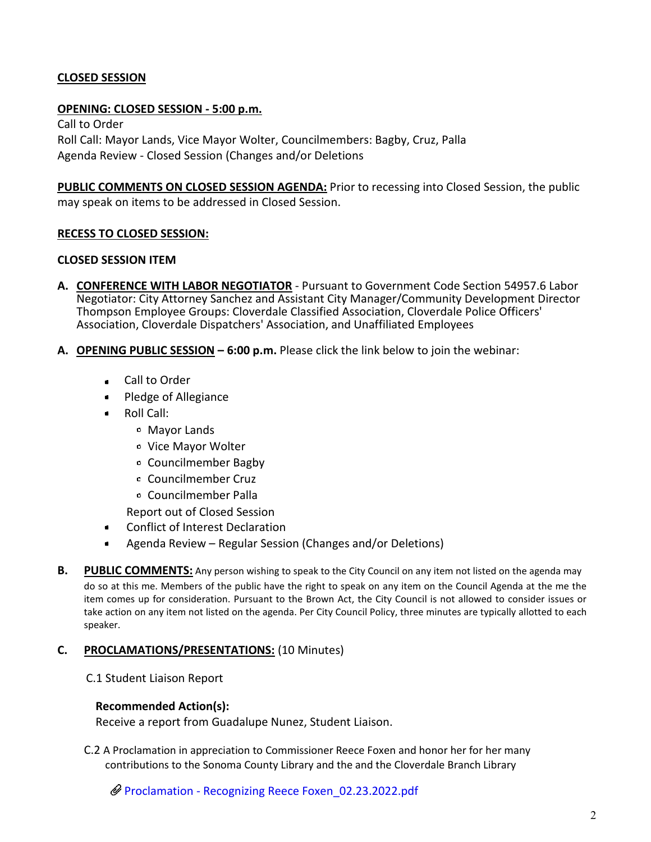### **CLOSED SESSION**

#### **OPENING: CLOSED SESSION - 5:00 p.m.**

Call to Order Roll Call: Mayor Lands, Vice Mayor Wolter, Councilmembers: Bagby, Cruz, Palla Agenda Review - Closed Session (Changes and/or Deletions

**PUBLIC COMMENTS ON CLOSED SESSION AGENDA:** Prior to recessing into Closed Session, the public may speak on items to be addressed in Closed Session.

#### **RECESS TO CLOSED SESSION:**

#### **CLOSED SESSION ITEM**

- **A. CONFERENCE WITH LABOR NEGOTIATOR** Pursuant to Government Code Section 54957.6 Labor Negotiator: City Attorney Sanchez and Assistant City Manager/Community Development Director Thompson Employee Groups: Cloverdale Classified Association, Cloverdale Police Officers' Association, Cloverdale Dispatchers' Association, and Unaffiliated Employees
- **A. OPENING PUBLIC SESSION 6:00 p.m.** Please click the link below to join the webinar:
	- Call to Order
	- Pledge of Allegiance
	- Roll Call:
		- Mayor Lands
		- Vice Mayor Wolter
		- Councilmember Bagby
		- Councilmember Cruz
		- Councilmember Palla

Report out of Closed Session

- Conflict of Interest Declaration
- Agenda Review Regular Session (Changes and/or Deletions)  $\bullet$
- **B. PUBLIC COMMENTS:** Any person wishing to speak to the City Council on any item not listed on the agenda may do so at this me. Members of the public have the right to speak on any item on the Council Agenda at the me the item comes up for consideration. Pursuant to the Brown Act, the City Council is not allowed to consider issues or take action on any item not listed on the agenda. Per City Council Policy, three minutes are typically allotted to each speaker.

#### **C. PROCLAMATIONS/PRESENTATIONS:** (10 Minutes)

#### C.1 Student Liaison Report

#### **Recommended Action(s):**

Receive a report from Guadalupe Nunez, Student Liaison.

C.2 A Proclamation in appreciation to Commissioner Reece Foxen and honor her for her many contributions to the Sonoma County Library and the and the Cloverdale Branch Library

[Proclamation - Recognizing Reece Foxen\\_02.23.2022.pdf](https://legistarweb-production.s3.amazonaws.com/uploads/attachment/pdf/1253544/Proclamation_-_Recognizing_Reece_Foxen_02.23.2022.pdf)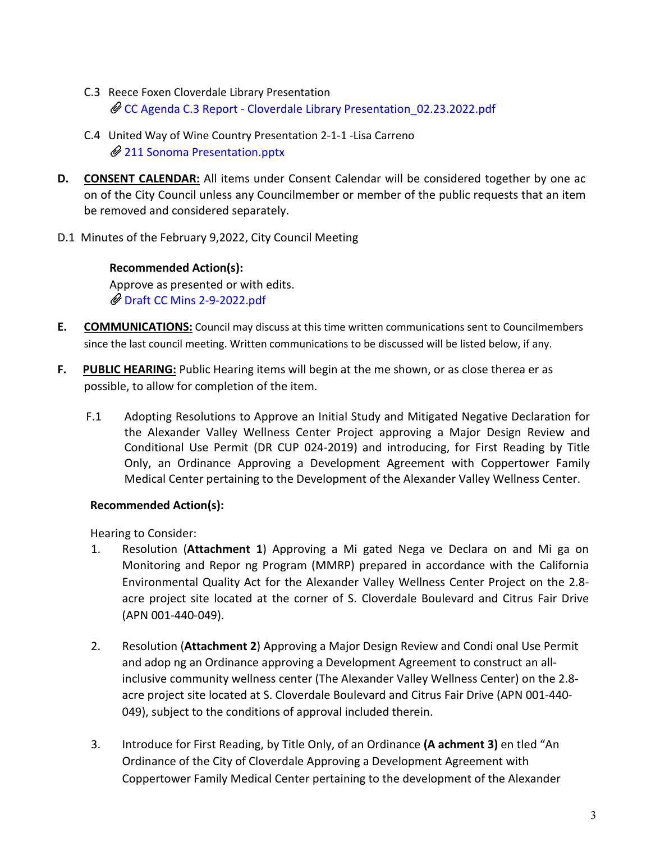- C.3 Reece Foxen Cloverdale Library Presentation [CC Agenda C.3 Report - Cloverdale Library Presentation\\_02.23.2022.pdf](https://legistarweb-production.s3.amazonaws.com/uploads/attachment/pdf/1253993/CC_Agenda_C.3_Report_-_Cloverdale_Library_Presentation_02.23.2022.pdf)
- C.4 United Way of Wine Country Presentation 2-1-1 -Lisa Carreno [211 Sonoma Presentation.pptx](https://legistarweb-production.s3.amazonaws.com/uploads/attachment/pdf/1253533/211_Sonoma_Presentation.pdf)
- **D. CONSENT CALENDAR:** All items under Consent Calendar will be considered together by one ac on of the City Council unless any Councilmember or member of the public requests that an item be removed and considered separately.
- D.1 Minutes of the February 9,2022, City Council Meeting

# **Recommended Action(s):**

Approve as presented or with edits. [Draft CC Mins 2-9-2022.pdf](https://legistarweb-production.s3.amazonaws.com/uploads/attachment/pdf/1253460/Draft_CC_Mins_2-9-2022.pdf)

- **E. COMMUNICATIONS:** Council may discuss at this time written communications sent to Councilmembers since the last council meeting. Written communications to be discussed will be listed below, if any.
- **F. PUBLIC HEARING:** Public Hearing items will begin at the me shown, or as close therea er as possible, to allow for completion of the item.
	- F.1 Adopting Resolutions to Approve an Initial Study and Mitigated Negative Declaration for the Alexander Valley Wellness Center Project approving a Major Design Review and Conditional Use Permit (DR CUP 024-2019) and introducing, for First Reading by Title Only, an Ordinance Approving a Development Agreement with Coppertower Family Medical Center pertaining to the Development of the Alexander Valley Wellness Center.

## **Recommended Action(s):**

Hearing to Consider:

- 1. Resolution (**Attachment 1**) Approving a Mi gated Nega ve Declara on and Mi ga on Monitoring and Repor ng Program (MMRP) prepared in accordance with the California Environmental Quality Act for the Alexander Valley Wellness Center Project on the 2.8 acre project site located at the corner of S. Cloverdale Boulevard and Citrus Fair Drive (APN 001-440-049).
- 2. Resolution (**Attachment 2**) Approving a Major Design Review and Condi onal Use Permit and adop ng an Ordinance approving a Development Agreement to construct an allinclusive community wellness center (The Alexander Valley Wellness Center) on the 2.8 acre project site located at S. Cloverdale Boulevard and Citrus Fair Drive (APN 001-440- 049), subject to the conditions of approval included therein.
- 3. Introduce for First Reading, by Title Only, of an Ordinance **(A achment 3)** en tled "An Ordinance of the City of Cloverdale Approving a Development Agreement with Coppertower Family Medical Center pertaining to the development of the Alexander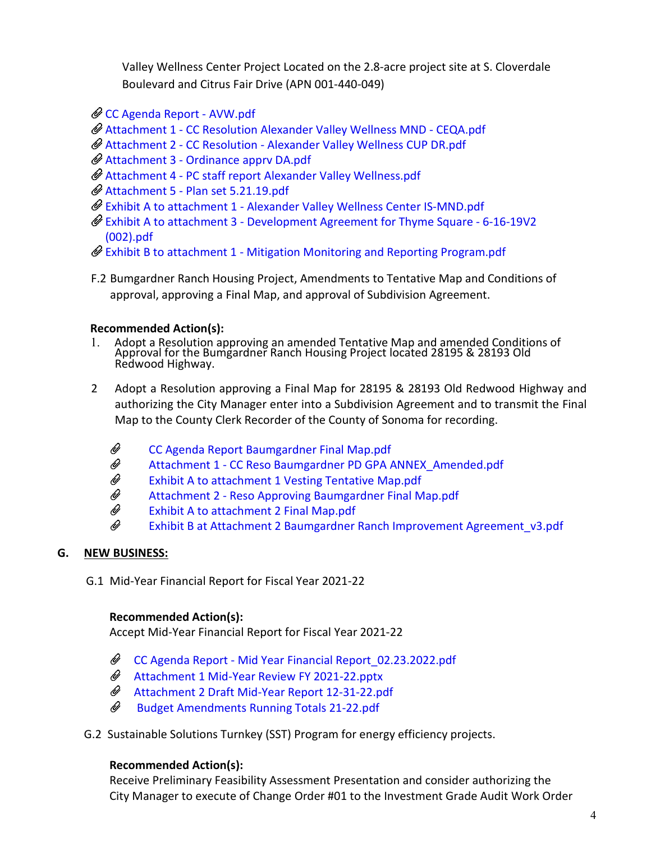Valley Wellness Center Project Located on the 2.8-acre project site at S. Cloverdale Boulevard and Citrus Fair Drive (APN 001-440-049)

- [CC Agenda Report AVW.pdf](https://legistarweb-production.s3.amazonaws.com/uploads/attachment/pdf/1253282/CC_Agenda_Report_-_AVW.pdf)
- Attachment 1 CC Resolution [Alexander Valley Wellness MND CEQA.pdf](https://legistarweb-production.s3.amazonaws.com/uploads/attachment/pdf/1253283/Attch_1_-_CC_Reso_Alexander_Valley_Wellness_MND_-_CEQA.pdf)
- Attachment 2 [CC Resolution Alexander Valley Wellness CUP DR.pdf](https://legistarweb-production.s3.amazonaws.com/uploads/attachment/pdf/1253284/Attch_2_-_CC_Resolution_-_Alexander_Valley_Wellness_CUP_DR.pdf)
- Attachment [3 Ordinance](https://legistarweb-production.s3.amazonaws.com/uploads/attachment/pdf/1253285/Attch_3_-_Ordinance_apprv_DA.pdf) apprv DA.pdf
- Attachment [4 PC staff report Alexander Valley Wellness.pdf](https://legistarweb-production.s3.amazonaws.com/uploads/attachment/pdf/1253286/Attch_4_-_PC_staff_report_Alexander_Valley_Wellness.pdf)
- Attachment [5 Plan set 5.21.19.pdf](https://legistarweb-production.s3.amazonaws.com/uploads/attachment/pdf/1253321/Attch_5_-_Plan_set_5.21.19.pdf)
- [Exhibit A to attachment 1 Alexander Valley Wellness Center IS-MND.pdf](https://legistarweb-production.s3.amazonaws.com/uploads/attachment/pdf/1253323/Exhibit_A_attachment_1_Alexander_Valley_Wellness_Center_IS-MND.pdf)
- [Exhibit A to attachment 3 Development Agreement for Thyme Square 6-16-19V2](https://legistarweb-production.s3.amazonaws.com/uploads/attachment/pdf/1253324/Exhibit_A_to_attachment_3_Development_Agreement_for_Thyme_Square_-_6-16-19V2__002_.pdf) [\(002\).pdf](https://legistarweb-production.s3.amazonaws.com/uploads/attachment/pdf/1253324/Exhibit_A_to_attachment_3_Development_Agreement_for_Thyme_Square_-_6-16-19V2__002_.pdf)
- $\mathscr O$  [Exhibit B to attachment 1 Mitigation Monitoring and Reporting Program.pdf](https://legistarweb-production.s3.amazonaws.com/uploads/attachment/pdf/1253325/Exhibit_B_to_attachment_1_Mitigation_Monitoring_and_Reporting_Program.pdf)
- F.2 Bumgardner Ranch Housing Project, Amendments to Tentative Map and Conditions of approval, approving a Final Map, and approval of Subdivision Agreement.

# **Recommended Action(s):**

- 1. Adopt a Resolution approving an amended Tentative Map and amended Conditions of Approval for the Bumgardner Ranch Housing Project located 28195 & 28193 Old Redwood Highway.
- 2 Adopt a Resolution approving a Final Map for 28195 & 28193 Old Redwood Highway and authorizing the City Manager enter into a Subdivision Agreement and to transmit the Final Map to the County Clerk Recorder of the County of Sonoma for recording.
	- W [CC Agenda Report Baumgardner Final Map.pdf](https://legistarweb-production.s3.amazonaws.com/uploads/attachment/attachment/1256280/CC_Agenda_Report_Baumgardner_Final_Map.pdf)
	- $\mathscr{Q}$ [Attachment 1 - CC Reso Baumgardner PD GPA ANNEX\\_Amended.pdf](https://legistarweb-production.s3.amazonaws.com/uploads/attachment/pdf/1253393/Attachment_1_-_CC_Reso_Baumgardner_PD_GPA_ANNEX_Amended.pdf)
	- W [Exhibit A to attachment 1 Vesting Tentative Map.pdf](https://legistarweb-production.s3.amazonaws.com/uploads/attachment/pdf/1253399/Exh_a_to_att1_Vesting_Tentative_Map.pdf)
	- W [Attachment 2 - Reso Approving Baumgardner Final Map.pdf](https://legistarweb-production.s3.amazonaws.com/uploads/attachment/pdf/1253394/Attachment_2_-_Reso_Approving_Baumgardner_Final_Map.pdf)
	- Û Exhibit [A to attachment 2](https://legistarweb-production.s3.amazonaws.com/uploads/attachment/pdf/1253396/Exh_A_to_att1__Final_Map.pdf) Final Map.pdf
	- Q Exhibit [B at Attachment 2 Baumgardner Ranch Improvement](https://legistarweb-production.s3.amazonaws.com/uploads/attachment/pdf/1253400/Exh_B_at_Att2_Baumgardner_Ranch_Improvement_Agreement_v3.pdf) Agreement\_v3.pdf

## **G. NEW BUSINESS:**

G.1 Mid-Year Financial Report for Fiscal Year 2021-22

## **Recommended Action(s):**

Accept Mid-Year Financial Report for Fiscal Year 2021-22

- [CC Agenda Report Mid Year Financial Report\\_02.23.2022.pdf](https://legistarweb-production.s3.amazonaws.com/uploads/attachment/pdf/1253514/CC_Agenda_Report_-_Mid_Year_Financial_Report_02.23.2022.pdf)
- [Attachment 1 Mid-Year Review FY 2021-22.pptx](https://legistarweb-production.s3.amazonaws.com/uploads/attachment/pdf/1253515/Attachment_1_Mid-Year_Review_FY_2021-22.pdf)
- [Attachment 2 Draft Mid-Year Report 12-31-22.pdf](https://legistarweb-production.s3.amazonaws.com/uploads/attachment/pdf/1253517/Attachment_2_Draft_Mid-Year_Report_12-31-22.pdf)
- O) -[Budget Amendments Running Totals 21-22.pdf](https://legistarweb-production.s3.amazonaws.com/uploads/attachment/pdf/1253519/Budget_Amendments_Running_Totals_21-22.pdf)
- G.2 Sustainable Solutions Turnkey (SST) Program for energy efficiency projects.

## **Recommended Action(s):**

Receive Preliminary Feasibility Assessment Presentation and consider authorizing the City Manager to execute of Change Order #01 to the Investment Grade Audit Work Order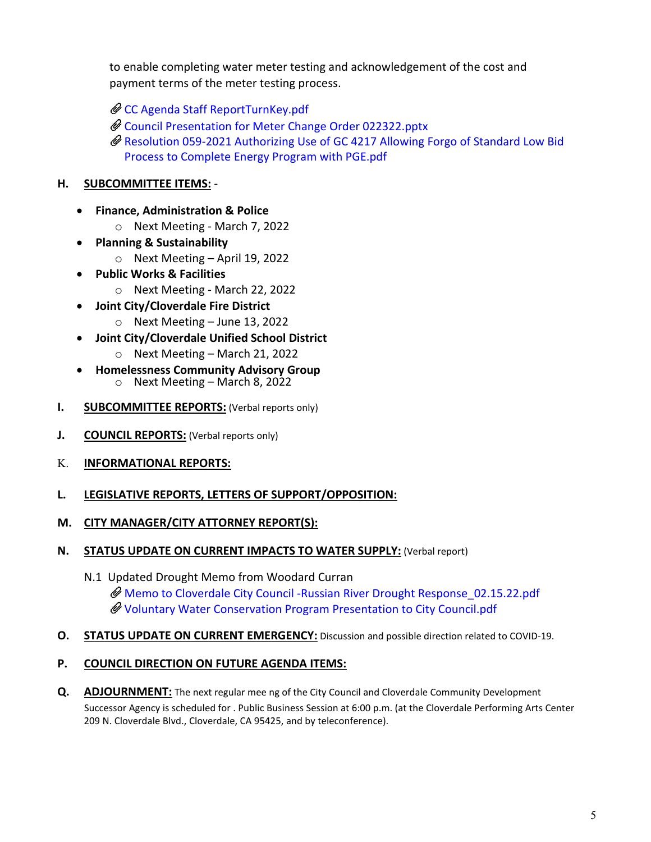to enable completing water meter testing and acknowledgement of the cost and payment terms of the meter testing process.

[CC Agenda Staff ReportTurnKey.pdf](https://legistarweb-production.s3.amazonaws.com/uploads/attachment/pdf/1253857/CC_Agenda_Staff_ReportTurnKey.pdf)

- [Council Presentation for Meter Change Order 022322.pptx](https://legistarweb-production.s3.amazonaws.com/uploads/attachment/pdf/1253861/Council_Presentation_for_Meter_Change_Order_022322.pdf)
- Resolution [059-2021 Authorizing Use of GC 4217 Allowing Forgo of Standard Low Bid](https://legistarweb-production.s3.amazonaws.com/uploads/attachment/pdf/1253863/Reso_059-2021_Authorizing_Use_of_GC_4217_Allowing_Forgo_of_Standard_Low_Bid_Process_to_Complete_Energy_Program_with_PGE.pdf)  [Process to](https://legistarweb-production.s3.amazonaws.com/uploads/attachment/pdf/1253863/Reso_059-2021_Authorizing_Use_of_GC_4217_Allowing_Forgo_of_Standard_Low_Bid_Process_to_Complete_Energy_Program_with_PGE.pdf) [Complete Energy Program with PGE.pdf](https://legistarweb-production.s3.amazonaws.com/uploads/attachment/pdf/1253863/Reso_059-2021_Authorizing_Use_of_GC_4217_Allowing_Forgo_of_Standard_Low_Bid_Process_to_Complete_Energy_Program_with_PGE.pdf)

# **H. SUBCOMMITTEE ITEMS:** -

- **Finance, Administration & Police**
	- o Next Meeting March 7, 2022
- **Planning & Sustainability**
	- o Next Meeting April 19, 2022
- **Public Works & Facilities**
	- o Next Meeting March 22, 2022
- **Joint City/Cloverdale Fire District**
	- $\circ$  Next Meeting June 13, 2022
- **Joint City/Cloverdale Unified School District**
	- o Next Meeting March 21, 2022
- **Homelessness Community Advisory Group** o Next Meeting – March 8, 2022
- **I. SUBCOMMITTEE REPORTS:** (Verbal reports only)
- **J. COUNCIL REPORTS:** (Verbal reports only)
- K. **INFORMATIONAL REPORTS:**
- **L. LEGISLATIVE REPORTS, LETTERS OF SUPPORT/OPPOSITION:**
- **M. CITY MANAGER/CITY ATTORNEY REPORT(S):**
- **N. STATUS UPDATE ON CURRENT IMPACTS TO WATER SUPPLY:** (Verbal report)
	- N.1 Updated Drought Memo from Woodard Curran [Memo to Cloverdale City Council -Russian River Drought Response\\_02.15.22.pdf](https://legistarweb-production.s3.amazonaws.com/uploads/attachment/pdf/1253575/Memo_to_Cloverdale_City_Council_-Russian_River_Drought_Response_02.15.22.pdf) [Voluntary Water Conservation Program Presentation to City Council.pdf](https://legistarweb-production.s3.amazonaws.com/uploads/attachment/pdf/1253576/Voluntary_Water_Conservation_Program_Presentation_to_City_Council.pdf)
- **O. STATUS UPDATE ON CURRENT EMERGENCY:** Discussion and possible direction related to COVID-19.

## **P. COUNCIL DIRECTION ON FUTURE AGENDA ITEMS:**

**Q. ADJOURNMENT:** The next regular mee ng of the City Council and Cloverdale Community Development Successor Agency is scheduled for . Public Business Session at 6:00 p.m. (at the Cloverdale Performing Arts Center 209 N. Cloverdale Blvd., Cloverdale, CA 95425, and by teleconference).